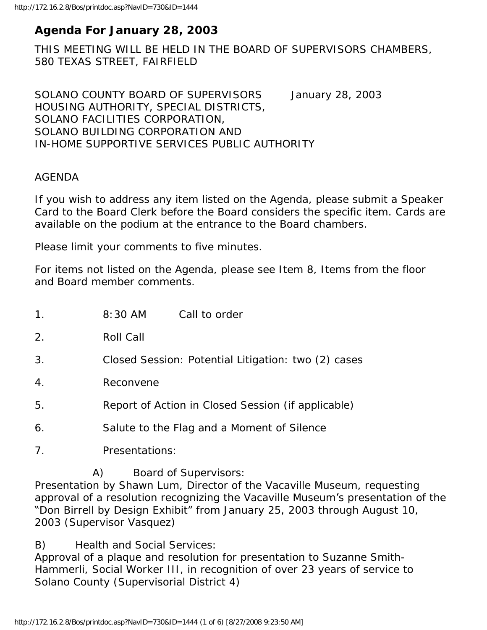# **Agenda For January 28, 2003**

THIS MEETING WILL BE HELD IN THE BOARD OF SUPERVISORS CHAMBERS, 580 TEXAS STREET, FAIRFIELD

SOLANO COUNTY BOARD OF SUPERVISORS January 28, 2003 HOUSING AUTHORITY, SPECIAL DISTRICTS, SOLANO FACILITIES CORPORATION, SOLANO BUILDING CORPORATION AND IN-HOME SUPPORTIVE SERVICES PUBLIC AUTHORITY

### AGENDA

If you wish to address any item listed on the Agenda, please submit a Speaker Card to the Board Clerk before the Board considers the specific item. Cards are available on the podium at the entrance to the Board chambers.

Please limit your comments to five minutes.

For items not listed on the Agenda, please see Item 8, Items from the floor and Board member comments.

- 1. 8:30 AM Call to order
- 2. Roll Call
- 3. Closed Session: Potential Litigation: two (2) cases
- 4. Reconvene
- 5. Report of Action in Closed Session (if applicable)
- 6. Salute to the Flag and a Moment of Silence
- 7. Presentations:
	- A) Board of Supervisors:

Presentation by Shawn Lum, Director of the Vacaville Museum, requesting approval of a resolution recognizing the Vacaville Museum's presentation of the "Don Birrell by Design Exhibit" from January 25, 2003 through August 10, 2003 (Supervisor Vasquez)

B) Health and Social Services:

Approval of a plaque and resolution for presentation to Suzanne Smith-Hammerli, Social Worker III, in recognition of over 23 years of service to Solano County (Supervisorial District 4)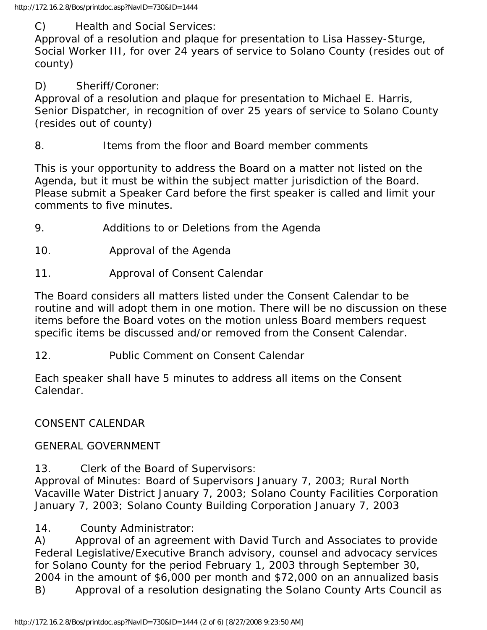C) Health and Social Services:

Approval of a resolution and plaque for presentation to Lisa Hassey-Sturge, Social Worker III, for over 24 years of service to Solano County (resides out of county)

### D) Sheriff/Coroner:

Approval of a resolution and plaque for presentation to Michael E. Harris, Senior Dispatcher, in recognition of over 25 years of service to Solano County (resides out of county)

8. Items from the floor and Board member comments

This is your opportunity to address the Board on a matter not listed on the Agenda, but it must be within the subject matter jurisdiction of the Board. Please submit a Speaker Card before the first speaker is called and limit your comments to five minutes.

- 9. Additions to or Deletions from the Agenda
- 10. Approval of the Agenda
- 11. Approval of Consent Calendar

The Board considers all matters listed under the Consent Calendar to be routine and will adopt them in one motion. There will be no discussion on these items before the Board votes on the motion unless Board members request specific items be discussed and/or removed from the Consent Calendar.

12. Public Comment on Consent Calendar

Each speaker shall have 5 minutes to address all items on the Consent Calendar.

## CONSENT CALENDAR

## GENERAL GOVERNMENT

13. Clerk of the Board of Supervisors:

Approval of Minutes: Board of Supervisors January 7, 2003; Rural North Vacaville Water District January 7, 2003; Solano County Facilities Corporation January 7, 2003; Solano County Building Corporation January 7, 2003

14. County Administrator:

A) Approval of an agreement with David Turch and Associates to provide Federal Legislative/Executive Branch advisory, counsel and advocacy services for Solano County for the period February 1, 2003 through September 30, 2004 in the amount of \$6,000 per month and \$72,000 on an annualized basis B) Approval of a resolution designating the Solano County Arts Council as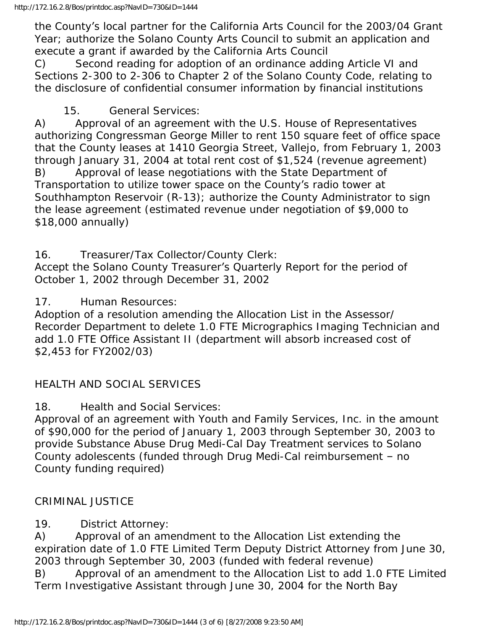the County's local partner for the California Arts Council for the 2003/04 Grant Year; authorize the Solano County Arts Council to submit an application and execute a grant if awarded by the California Arts Council

C) Second reading for adoption of an ordinance adding Article VI and Sections 2-300 to 2-306 to Chapter 2 of the Solano County Code, relating to the disclosure of confidential consumer information by financial institutions

15. General Services:

A) Approval of an agreement with the U.S. House of Representatives authorizing Congressman George Miller to rent 150 square feet of office space that the County leases at 1410 Georgia Street, Vallejo, from February 1, 2003 through January 31, 2004 at total rent cost of \$1,524 (revenue agreement) B) Approval of lease negotiations with the State Department of Transportation to utilize tower space on the County's radio tower at Southhampton Reservoir (R-13); authorize the County Administrator to sign the lease agreement (estimated revenue under negotiation of \$9,000 to \$18,000 annually)

16. Treasurer/Tax Collector/County Clerk:

Accept the Solano County Treasurer's Quarterly Report for the period of October 1, 2002 through December 31, 2002

17. Human Resources:

Adoption of a resolution amending the Allocation List in the Assessor/ Recorder Department to delete 1.0 FTE Micrographics Imaging Technician and add 1.0 FTE Office Assistant II (department will absorb increased cost of \$2,453 for FY2002/03)

# HEALTH AND SOCIAL SERVICES

18. Health and Social Services:

Approval of an agreement with Youth and Family Services, Inc. in the amount of \$90,000 for the period of January 1, 2003 through September 30, 2003 to provide Substance Abuse Drug Medi-Cal Day Treatment services to Solano County adolescents (funded through Drug Medi-Cal reimbursement – no County funding required)

## CRIMINAL JUSTICE

19. District Attorney:

A) Approval of an amendment to the Allocation List extending the expiration date of 1.0 FTE Limited Term Deputy District Attorney from June 30, 2003 through September 30, 2003 (funded with federal revenue)

B) Approval of an amendment to the Allocation List to add 1.0 FTE Limited Term Investigative Assistant through June 30, 2004 for the North Bay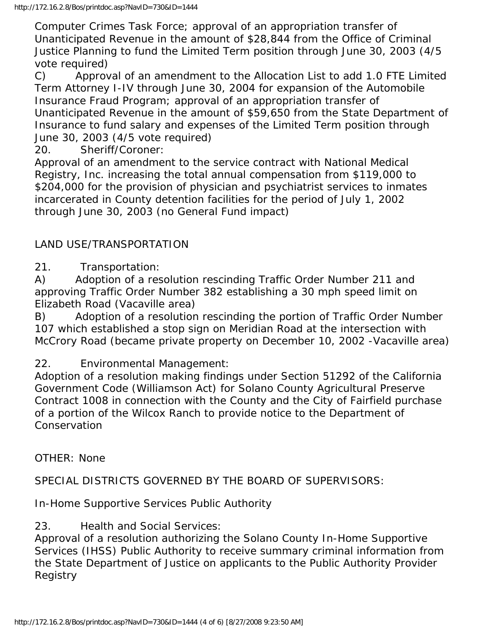Computer Crimes Task Force; approval of an appropriation transfer of Unanticipated Revenue in the amount of \$28,844 from the Office of Criminal Justice Planning to fund the Limited Term position through June 30, 2003 (4/5 vote required)

C) Approval of an amendment to the Allocation List to add 1.0 FTE Limited Term Attorney I-IV through June 30, 2004 for expansion of the Automobile Insurance Fraud Program; approval of an appropriation transfer of Unanticipated Revenue in the amount of \$59,650 from the State Department of Insurance to fund salary and expenses of the Limited Term position through June 30, 2003 (4/5 vote required)

20. Sheriff/Coroner:

Approval of an amendment to the service contract with National Medical Registry, Inc. increasing the total annual compensation from \$119,000 to \$204,000 for the provision of physician and psychiatrist services to inmates incarcerated in County detention facilities for the period of July 1, 2002 through June 30, 2003 (no General Fund impact)

### LAND USE/TRANSPORTATION

21. Transportation:

A) Adoption of a resolution rescinding Traffic Order Number 211 and approving Traffic Order Number 382 establishing a 30 mph speed limit on Elizabeth Road (Vacaville area)

B) Adoption of a resolution rescinding the portion of Traffic Order Number 107 which established a stop sign on Meridian Road at the intersection with McCrory Road (became private property on December 10, 2002 -Vacaville area)

22. Environmental Management:

Adoption of a resolution making findings under Section 51292 of the California Government Code (Williamson Act) for Solano County Agricultural Preserve Contract 1008 in connection with the County and the City of Fairfield purchase of a portion of the Wilcox Ranch to provide notice to the Department of **Conservation** 

OTHER: None

SPECIAL DISTRICTS GOVERNED BY THE BOARD OF SUPERVISORS:

In-Home Supportive Services Public Authority

23. Health and Social Services:

Approval of a resolution authorizing the Solano County In-Home Supportive Services (IHSS) Public Authority to receive summary criminal information from the State Department of Justice on applicants to the Public Authority Provider Registry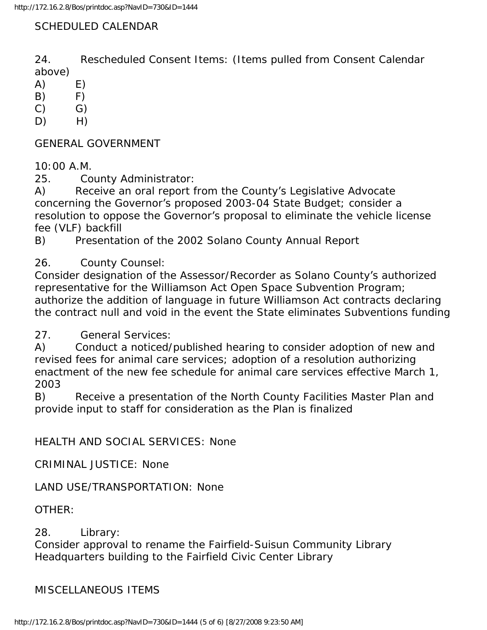### SCHEDULED CALENDAR

24. Rescheduled Consent Items: (Items pulled from Consent Calendar above)

 $(A)$   $E)$ 

- $(B)$   $F)$
- $(C)$   $G)$
- $D)$  H)

GENERAL GOVERNMENT

10:00 A.M.

25. County Administrator:

A) Receive an oral report from the County's Legislative Advocate concerning the Governor's proposed 2003-04 State Budget; consider a resolution to oppose the Governor's proposal to eliminate the vehicle license fee (VLF) backfill

B) Presentation of the 2002 Solano County Annual Report

26. County Counsel:

Consider designation of the Assessor/Recorder as Solano County's authorized representative for the Williamson Act Open Space Subvention Program; authorize the addition of language in future Williamson Act contracts declaring the contract null and void in the event the State eliminates Subventions funding

27. General Services:

A) Conduct a noticed/published hearing to consider adoption of new and revised fees for animal care services; adoption of a resolution authorizing enactment of the new fee schedule for animal care services effective March 1, 2003

B) Receive a presentation of the North County Facilities Master Plan and provide input to staff for consideration as the Plan is finalized

HEALTH AND SOCIAL SERVICES: None

CRIMINAL JUSTICE: None

LAND USE/TRANSPORTATION: None

OTHER:

28. Library:

Consider approval to rename the Fairfield-Suisun Community Library Headquarters building to the Fairfield Civic Center Library

#### MISCELLANEOUS ITEMS